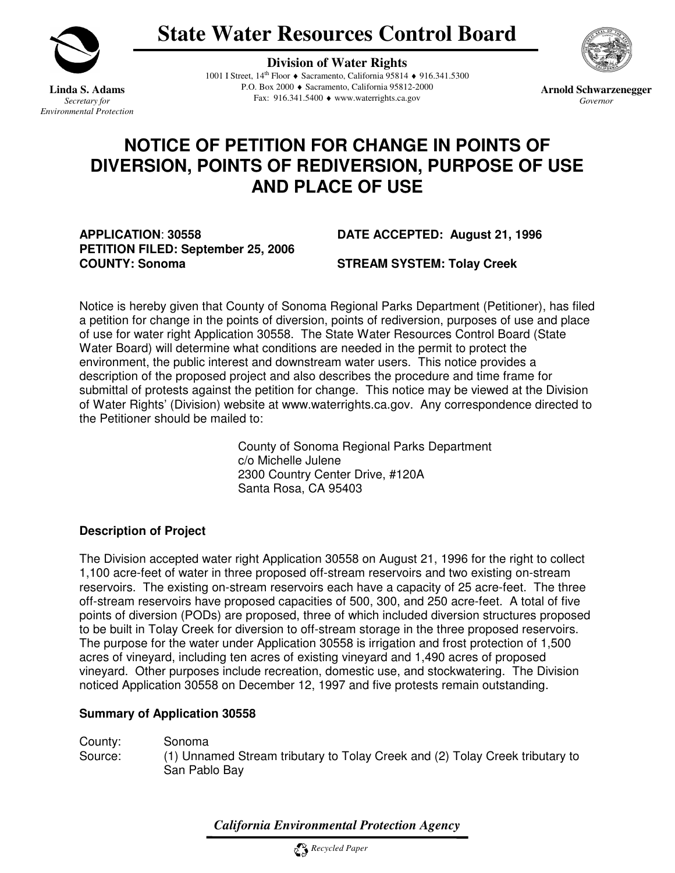

 **State Water Resources Control Board** 

**Linda S. Adams**<br>*Secretary for Environmental Protection* 

 **Division of Water Rights Linda S. Adams P.O. Box 2000 ♦ Sacramento, California 95812-2000 Arnold Schwarzenegger** *Secretary for* **<b>Arnold Schwarzenegger Fax: 916.341.5400 ♦ www.waterrights.ca.gov** *Governor Governor* Fax: 916.341.5400 ♦ www.waterrights.ca.gov 1001 I Street, 14th Floor ♦ Sacramento, California 95814 ♦ 916.341.5300

# **NOTICE OF PETITION FOR CHANGE IN POINTS OF DIVERSION, POINTS OF REDIVERSION, PURPOSE OF USE AND PLACE OF USE**

 **APPLICATION**: **30558 DATE ACCEPTED: August 21, 1996 PETITION FILED: September 25, 2006** COUNTY: Sonoma STREAM SYSTEM: Tolay Creek

 Notice is hereby given that County of Sonoma Regional Parks Department (Petitioner), has filed a petition for change in the points of diversion, points of rediversion, purposes of use and place of use for water right Application 30558. The State Water Resources Control Board (State Water Board) will determine what conditions are needed in the permit to protect the environment, the public interest and downstream water users. This notice provides a description of the proposed project and also describes the procedure and time frame for submittal of protests against the petition for change. This notice may be viewed at the Division of Water Rights' (Division) website at www.waterrights.ca.gov. Any correspondence directed to the Petitioner should be mailed to:

> County of Sonoma Regional Parks Department c/o Michelle Julene 2300 Country Center Drive, #120A Santa Rosa, CA 95403

# **Description of Project**

 The Division accepted water right Application 30558 on August 21, 1996 for the right to collect 1,100 acre-feet of water in three proposed off-stream reservoirs and two existing on-stream reservoirs. The existing on-stream reservoirs each have a capacity of 25 acre-feet. The three off-stream reservoirs have proposed capacities of 500, 300, and 250 acre-feet. A total of five points of diversion (PODs) are proposed, three of which included diversion structures proposed to be built in Tolay Creek for diversion to off-stream storage in the three proposed reservoirs. The purpose for the water under Application 30558 is irrigation and frost protection of 1,500 acres of vineyard, including ten acres of existing vineyard and 1,490 acres of proposed vineyard. Other purposes include recreation, domestic use, and stockwatering. The Division noticed Application 30558 on December 12, 1997 and five protests remain outstanding.

## **Summary of Application 30558**

 County: Sonoma Source: San Pablo Bay (1) Unnamed Stream tributary to Tolay Creek and (2) Tolay Creek tributary to

 *California Environmental Protection Agency*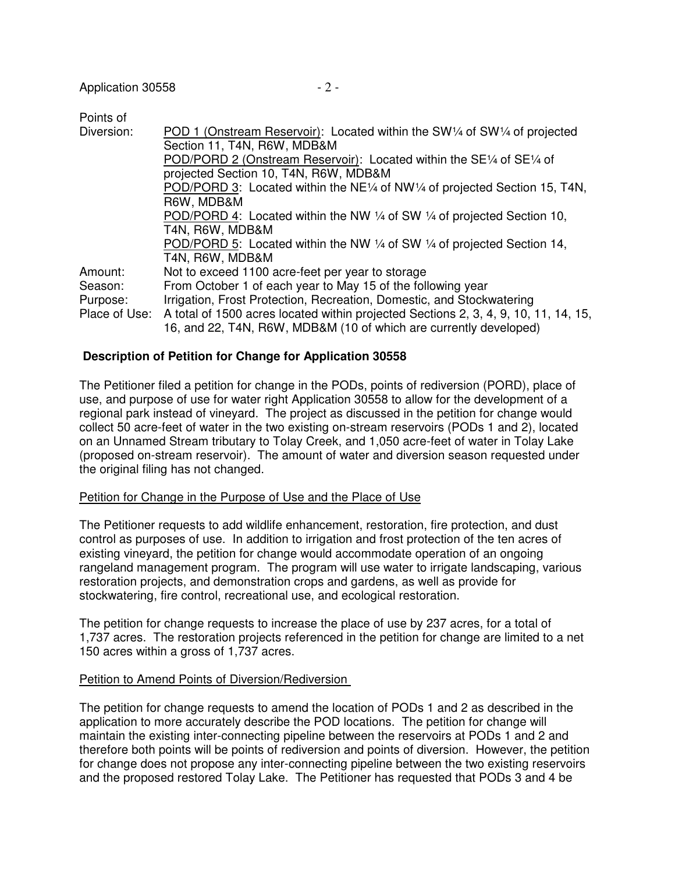| Points of     |                                                                                           |  |  |  |
|---------------|-------------------------------------------------------------------------------------------|--|--|--|
| Diversion:    | POD 1 (Onstream Reservoir): Located within the SW1/4 of SW1/4 of projected                |  |  |  |
|               | Section 11, T4N, R6W, MDB&M                                                               |  |  |  |
|               | POD/PORD 2 (Onstream Reservoir): Located within the $SE\frac{1}{4}$ of $SE\frac{1}{4}$ of |  |  |  |
|               | projected Section 10, T4N, R6W, MDB&M                                                     |  |  |  |
|               | POD/PORD 3: Located within the NE1/4 of NW1/4 of projected Section 15, T4N,               |  |  |  |
|               | R6W, MDB&M                                                                                |  |  |  |
|               | POD/PORD 4: Located within the NW 1/4 of SW 1/4 of projected Section 10,                  |  |  |  |
|               | T4N, R6W, MDB&M                                                                           |  |  |  |
|               | POD/PORD 5: Located within the NW 1/4 of SW 1/4 of projected Section 14,                  |  |  |  |
|               | T4N, R6W, MDB&M                                                                           |  |  |  |
| Amount:       | Not to exceed 1100 acre-feet per year to storage                                          |  |  |  |
| Season:       | From October 1 of each year to May 15 of the following year                               |  |  |  |
| Purpose:      | Irrigation, Frost Protection, Recreation, Domestic, and Stockwatering                     |  |  |  |
| Place of Use: | A total of 1500 acres located within projected Sections 2, 3, 4, 9, 10, 11, 14, 15,       |  |  |  |
|               | 16, and 22, T4N, R6W, MDB&M (10 of which are currently developed)                         |  |  |  |

# **Description of Petition for Change for Application 30558**

 The Petitioner filed a petition for change in the PODs, points of rediversion (PORD), place of use, and purpose of use for water right Application 30558 to allow for the development of a regional park instead of vineyard. The project as discussed in the petition for change would collect 50 acre-feet of water in the two existing on-stream reservoirs (PODs 1 and 2), located on an Unnamed Stream tributary to Tolay Creek, and 1,050 acre-feet of water in Tolay Lake (proposed on-stream reservoir). The amount of water and diversion season requested under the original filing has not changed.

#### Petition for Change in the Purpose of Use and the Place of Use

 The Petitioner requests to add wildlife enhancement, restoration, fire protection, and dust control as purposes of use. In addition to irrigation and frost protection of the ten acres of existing vineyard, the petition for change would accommodate operation of an ongoing rangeland management program. The program will use water to irrigate landscaping, various restoration projects, and demonstration crops and gardens, as well as provide for stockwatering, fire control, recreational use, and ecological restoration.

 The petition for change requests to increase the place of use by 237 acres, for a total of 1,737 acres. The restoration projects referenced in the petition for change are limited to a net 150 acres within a gross of 1,737 acres.

## Petition to Amend Points of Diversion/Rediversion

 The petition for change requests to amend the location of PODs 1 and 2 as described in the application to more accurately describe the POD locations. The petition for change will maintain the existing inter-connecting pipeline between the reservoirs at PODs 1 and 2 and therefore both points will be points of rediversion and points of diversion. However, the petition for change does not propose any inter-connecting pipeline between the two existing reservoirs and the proposed restored Tolay Lake. The Petitioner has requested that PODs 3 and 4 be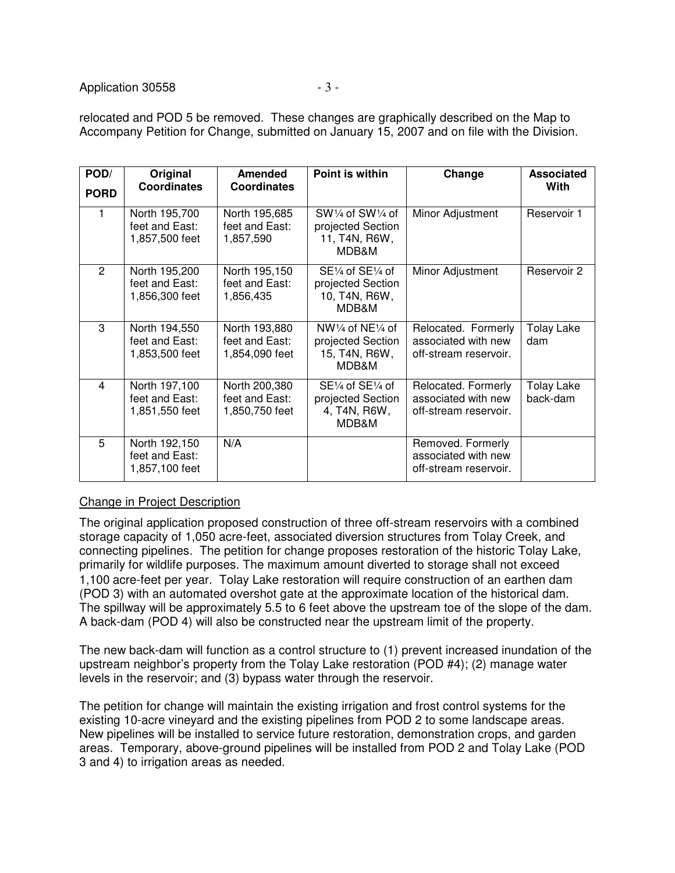relocated and POD 5 be removed. These changes are graphically described on the Map to Accompany Petition for Change, submitted on January 15, 2007 and on file with the Division.

| POD/        | Original                                          | <b>Amended</b>                                    | Point is within                                                  | Change                                                              | <b>Associated</b>             |
|-------------|---------------------------------------------------|---------------------------------------------------|------------------------------------------------------------------|---------------------------------------------------------------------|-------------------------------|
| <b>PORD</b> | <b>Coordinates</b>                                | <b>Coordinates</b>                                |                                                                  |                                                                     | With                          |
|             | North 195,700<br>feet and East:<br>1,857,500 feet | North 195,685<br>feet and East:<br>1,857,590      | SW1/4 of SW1/4 of<br>projected Section<br>11, T4N, R6W,<br>MDB&M | Minor Adjustment                                                    | Reservoir 1                   |
| 2           | North 195,200<br>feet and East:<br>1,856,300 feet | North 195,150<br>feet and East:<br>1,856,435      | SE1/4 of SE1/4 of<br>projected Section<br>10, T4N, R6W,<br>MDB&M | Minor Adjustment                                                    | Reservoir 2                   |
| 3           | North 194,550<br>feet and East:<br>1,853,500 feet | North 193,880<br>feet and East:<br>1,854,090 feet | NW1/4 of NE1/4 of<br>projected Section<br>15, T4N, R6W,<br>MDB&M | Relocated. Formerly<br>associated with new<br>off-stream reservoir. | Tolay Lake<br>dam             |
| 4           | North 197,100<br>feet and East:<br>1,851,550 feet | North 200,380<br>feet and East:<br>1,850,750 feet | SE1/4 of SE1/4 of<br>projected Section<br>4, T4N, R6W,<br>MDB&M  | Relocated. Formerly<br>associated with new<br>off-stream reservoir. | <b>Tolay Lake</b><br>back-dam |
| 5           | North 192,150<br>feet and East:<br>1,857,100 feet | N/A                                               |                                                                  | Removed. Formerly<br>associated with new<br>off-stream reservoir.   |                               |

# Change in Project Description

 The original application proposed construction of three off-stream reservoirs with a combined storage capacity of 1,050 acre-feet, associated diversion structures from Tolay Creek, and connecting pipelines. The petition for change proposes restoration of the historic Tolay Lake, primarily for wildlife purposes. The maximum amount diverted to storage shall not exceed 1,100 acre-feet per year. Tolay Lake restoration will require construction of an earthen dam (POD 3) with an automated overshot gate at the approximate location of the historical dam. The spillway will be approximately 5.5 to 6 feet above the upstream toe of the slope of the dam. A back-dam (POD 4) will also be constructed near the upstream limit of the property.

 The new back-dam will function as a control structure to (1) prevent increased inundation of the upstream neighbor's property from the Tolay Lake restoration (POD #4); (2) manage water levels in the reservoir; and (3) bypass water through the reservoir.

 The petition for change will maintain the existing irrigation and frost control systems for the existing 10-acre vineyard and the existing pipelines from POD 2 to some landscape areas. New pipelines will be installed to service future restoration, demonstration crops, and garden areas. Temporary, above-ground pipelines will be installed from POD 2 and Tolay Lake (POD 3 and 4) to irrigation areas as needed.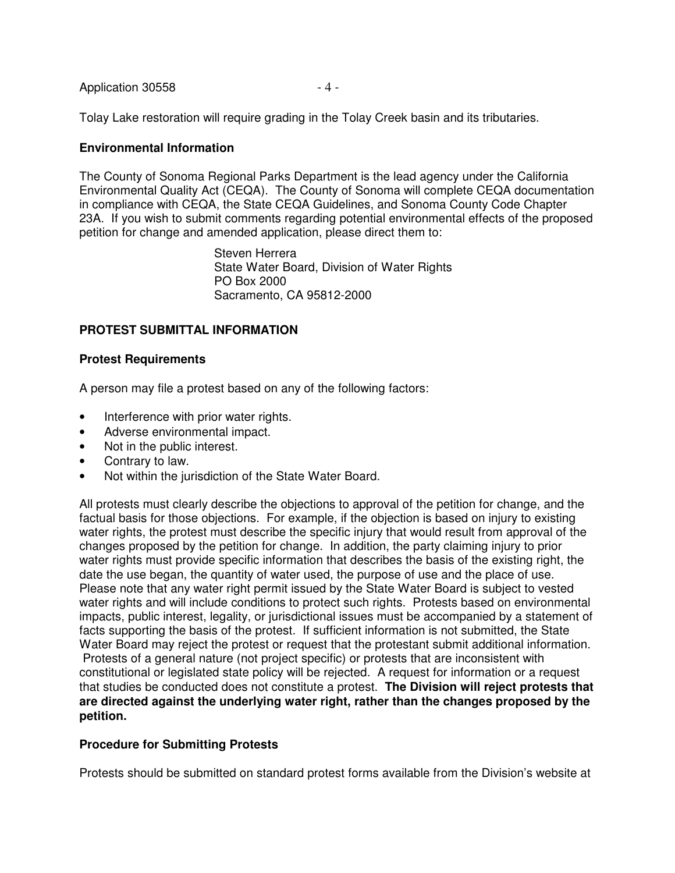| Application 30558 | -4- |
|-------------------|-----|
|-------------------|-----|

Tolay Lake restoration will require grading in the Tolay Creek basin and its tributaries.

## **Environmental Information**

 The County of Sonoma Regional Parks Department is the lead agency under the California Environmental Quality Act (CEQA). The County of Sonoma will complete CEQA documentation in compliance with CEQA, the State CEQA Guidelines, and Sonoma County Code Chapter 23A. If you wish to submit comments regarding potential environmental effects of the proposed petition for change and amended application, please direct them to:

> Steven Herrera State Water Board, Division of Water Rights PO Box 2000 Sacramento, CA 95812-2000

## **PROTEST SUBMITTAL INFORMATION**

#### **Protest Requirements**

A person may file a protest based on any of the following factors:

- Interference with prior water rights.
- $\bullet$ • Adverse environmental impact.
- $\bullet$ Not in the public interest.
- Contrary to law.
- Not within the jurisdiction of the State Water Board.

 All protests must clearly describe the objections to approval of the petition for change, and the factual basis for those objections. For example, if the objection is based on injury to existing water rights, the protest must describe the specific injury that would result from approval of the changes proposed by the petition for change. In addition, the party claiming injury to prior water rights must provide specific information that describes the basis of the existing right, the date the use began, the quantity of water used, the purpose of use and the place of use. Please note that any water right permit issued by the State Water Board is subject to vested water rights and will include conditions to protect such rights. Protests based on environmental impacts, public interest, legality, or jurisdictional issues must be accompanied by a statement of facts supporting the basis of the protest. If sufficient information is not submitted, the State Water Board may reject the protest or request that the protestant submit additional information. Protests of a general nature (not project specific) or protests that are inconsistent with constitutional or legislated state policy will be rejected. A request for information or a request that studies be conducted does not constitute a protest. **The Division will reject protests that are directed against the underlying water right, rather than the changes proposed by the petition.** 

#### **Procedure for Submitting Protests**

Protests should be submitted on standard protest forms available from the Division's website at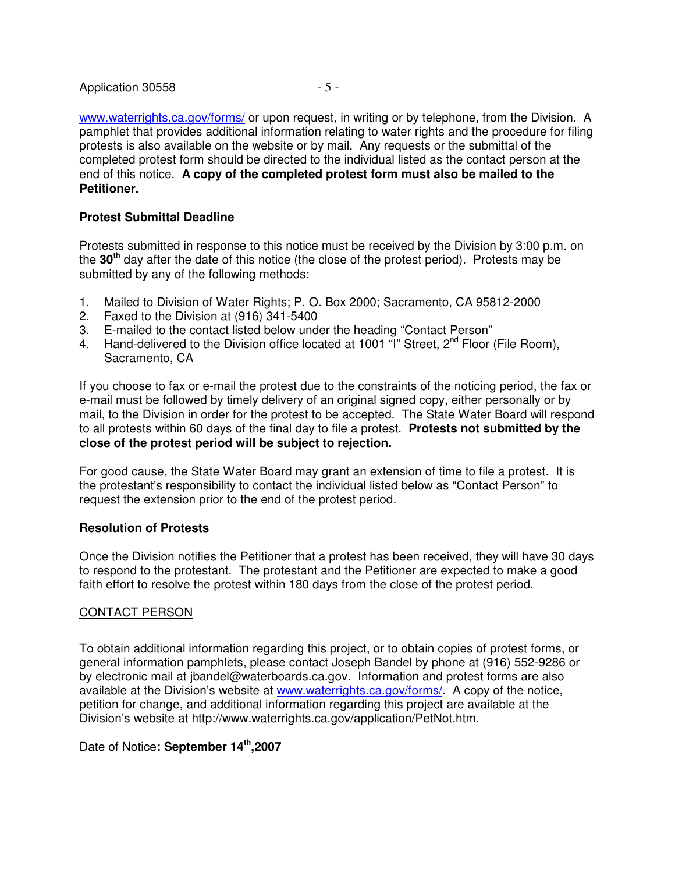www.waterrights.ca.gov/forms/ or upon request, in writing or by telephone, from the Division. A pamphlet that provides additional information relating to water rights and the procedure for filing protests is also available on the website or by mail. Any requests or the submittal of the completed protest form should be directed to the individual listed as the contact person at the end of this notice. **A copy of the completed protest form must also be mailed to the Petitioner.** 

## **Protest Submittal Deadline**

 Protests submitted in response to this notice must be received by the Division by 3:00 p.m. on the **30th** day after the date of this notice (the close of the protest period). Protests may be submitted by any of the following methods:

- $1.$ Mailed to Division of Water Rights; P. O. Box 2000; Sacramento, CA 95812-2000
- 2. Faxed to the Division at (916) 341-5400
- 3. E-mailed to the contact listed below under the heading "Contact Person"
- 4. Hand-delivered to the Division office located at 1001  $\widetilde{I}$ " Street, 2<sup>nd</sup> Floor (File Room), Sacramento, CA

 If you choose to fax or e-mail the protest due to the constraints of the noticing period, the fax or e-mail must be followed by timely delivery of an original signed copy, either personally or by mail, to the Division in order for the protest to be accepted. The State Water Board will respond to all protests within 60 days of the final day to file a protest. **Protests not submitted by the close of the protest period will be subject to rejection.** 

 For good cause, the State Water Board may grant an extension of time to file a protest. It is the protestant's responsibility to contact the individual listed below as "Contact Person" to request the extension prior to the end of the protest period.

#### **Resolution of Protests**

 Once the Division notifies the Petitioner that a protest has been received, they will have 30 days to respond to the protestant. The protestant and the Petitioner are expected to make a good faith effort to resolve the protest within 180 days from the close of the protest period.

#### CONTACT PERSON

 To obtain additional information regarding this project, or to obtain copies of protest forms, or general information pamphlets, please contact Joseph Bandel by phone at (916) 552-9286 or by electronic mail at jbandel@waterboards.ca.gov. Information and protest forms are also available at the Division's website at www.waterrights.ca.gov/forms/. A copy of the notice, petition for change, and additional information regarding this project are available at the Division's website at http://www.waterrights.ca.gov/application/PetNot.htm.

Date of Notice**: September 14th,2007**